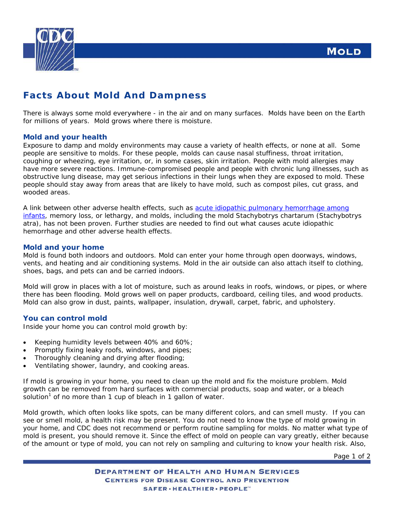**MOLD** 



# **Facts About Mold And Dampness**

There is always some mold everywhere - in the air and on many surfaces. Molds have been on the Earth for millions of years. Mold grows where there is moisture.

# **Mold and your health**

Exposure to damp and moldy environments may cause a variety of health effects, or none at all. Some people are sensitive to molds. For these people, molds can cause nasal stuffiness, throat irritation, coughing or wheezing, eye irritation, or, in some cases, skin irritation. People with mold allergies may have more severe reactions. Immune-compromised people and people with chronic lung illnesses, such as obstructive lung disease, may get serious infections in their lungs when they are exposed to mold. These people should stay away from areas that are likely to have mold, such as compost piles, cut grass, and wooded areas.

A link between other adverse health effects, such as [acute idiopathic pulmonary](http://www.cdc.gov/mold/hemorrhage_infants.htm) hemorrhage among [infants](http://www.cdc.gov/mold/hemorrhage_infants.htm), memory loss, or lethargy, and molds, including the mold *Stachybotrys chartarum* (*Stachybotrys atra*), has not been proven. Further studies are needed to find out what causes acute idiopathic hemorrhage and other adverse health effects.

# **Mold and your home**

Mold is found both indoors and outdoors. Mold can enter your home through open doorways, windows, vents, and heating and air conditioning systems. Mold in the air outside can also attach itself to clothing, shoes, bags, and pets can and be carried indoors.

Mold will grow in places with a lot of moisture, such as around leaks in roofs, windows, or pipes, or where there has been flooding. Mold grows well on paper products, cardboard, ceiling tiles, and wood products. Mold can also grow in dust, paints, wallpaper, insulation, drywall, carpet, fabric, and upholstery.

#### **You can control mold**

Inside your home you can control mold growth by:

- Keeping humidity levels between 40% and 60%;
- Promptly fixing leaky roofs, windows, and pipes;
- Thoroughly cleaning and drying after flooding;
- Ventilating shower, laundry, and cooking areas.

If mold is growing in your home, you need to clean up the mold *and* fix the moisture problem. Mold growth can be removed from hard surfaces with commercial products, soap and water, or a bleach solution<sup>1</sup>of no more than 1 cup of bleach in 1 gallon of water.

Mold growth, which often looks like spots, can be many different colors, and can smell musty. If you can see or smell mold, a health risk may be present. You do not need to know the type of mold growing in your home, and CDC does not recommend or perform routine sampling for molds. No matter what type of mold is present, you should remove it. Since the effect of mold on people can vary greatly, either because of the amount or type of mold, you can not rely on sampling and culturing to know your health risk. Also,

Page 1 of 2

**DEPARTMENT OF HEALTH AND HUMAN SERVICES CENTERS FOR DISEASE CONTROL AND PREVENTION** SAFER · HEALTHIER · PEOPLE"